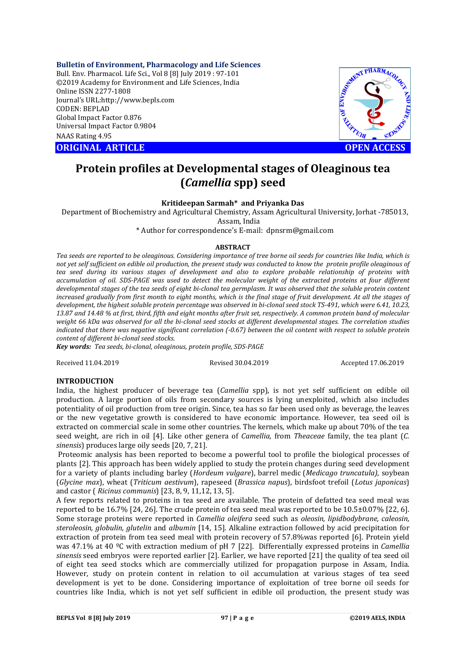### **Bulletin of Environment, Pharmacology and Life Sciences**

Bull. Env. Pharmacol. Life Sci., Vol 8 [8] July 2019 : 97-101 ©2019 Academy for Environment and Life Sciences, India Online ISSN 2277-1808 Journal's URL:http://www.bepls.com CODEN: BEPLAD Global Impact Factor 0.876 Universal Impact Factor 0.9804 NAAS Rating 4.95

**CORIGINAL ARTICLE CONSUMING ARTICLE CONSUMING A REPORT OF A LIGHT AND ACCESS** 



# **Protein profiles at Developmental stages of Oleaginous tea (***Camellia* **spp) seed**

# **Kritideepan Sarmah\* and Priyanka Das**

Department of Biochemistry and Agricultural Chemistry, Assam Agricultural University, Jorhat -785013, Assam, India

\* Author for correspondence's E-mail: dpnsrm@gmail.com

#### **ABSTRACT**

*Tea seeds are reported to be oleaginous. Considering importance of tree borne oil seeds for countries like India, which is not yet self sufficient on edible oil production, the present study was conducted to know the protein profile oleaginous of tea seed during its various stages of development and also to explore probable relationship of proteins with accumulation of oil. SDS-PAGE was used to detect the molecular weight of the extracted proteins at four different developmental stages of the tea seeds of eight bi-clonal tea germplasm. It was observed that the soluble protein content increased gradually from first month to eight months, which is the final stage of fruit development. At all the stages of development, the highest soluble protein percentage was observed in bi-clonal seed stock TS-491, which were 6.41, 10.23, 13.87 and 14.48 % at first, third, fifth and eight months after fruit set, respectively. A common protein band of molecular weight 66 kDa was observed for all the bi-clonal seed stocks at different developmental stages. The correlation studies indicated that there was negative significant correlation (-0.67) between the oil content with respect to soluble protein content of different bi-clonal seed stocks.*

*Key words: Tea seeds, bi-clonal, oleaginous, protein profile, SDS-PAGE*

Received 11.04.2019 Revised 30.04.2019 Accepted 17.06.2019

# **INTRODUCTION**

India, the highest producer of beverage tea (*Camellia* spp), is not yet self sufficient on edible oil production. A large portion of oils from secondary sources is lying unexploited, which also includes potentiality of oil production from tree origin. Since, tea has so far been used only as beverage, the leaves or the new vegetative growth is considered to have economic importance. However, tea seed oil is extracted on commercial scale in some other countries. The kernels, which make up about 70% of the tea seed weight, are rich in oil [4]. Like other genera of *Camellia,* from *Theaceae* family, the tea plant (*C. sinensis*) produces large oily seeds [20, 7, 21].

Proteomic analysis has been reported to become a powerful tool to profile the biological processes of plants [2]. This approach has been widely applied to study the protein changes during seed development for a variety of plants including barley (*Hordeum vulgare*), barrel medic (*Medicago truncatula)*, soybean (*Glycine max*), wheat (*Triticum aestivum*), rapeseed (*Brassica napus*), birdsfoot trefoil (*Lotus japonicas*) and castor ( *Ricinus communis*) [23, 8, 9, 11,12, 13, 5].

A few reports related to proteins in tea seed are available. The protein of defatted tea seed meal was reported to be 16.7% [24, 26]. The crude protein of tea seed meal was reported to be 10.5±0.07% [22, 6]. Some storage proteins were reported in *Camellia oleifera* seed such as *oleosin, lipidbodybrane, caleosin, steroleosin, globulin, glutelin* and *albumin* [14, 15]*.* Alkaline extraction followed by acid precipitation for extraction of protein from tea seed meal with protein recovery of 57.8% was reported [6]. Protein yield was 47.1% at 40 ºC with extraction medium of pH 7 [22]. Differentially expressed proteins in *Camellia sinensis* seed embryos were reported earlier [2]. Earlier, we have reported [21] the quality of tea seed oil of eight tea seed stocks which are commercially utilized for propagation purpose in Assam, India. However, study on protein content in relation to oil accumulation at various stages of tea seed development is yet to be done. Considering importance of exploitation of tree borne oil seeds for countries like India, which is not yet self sufficient in edible oil production, the present study was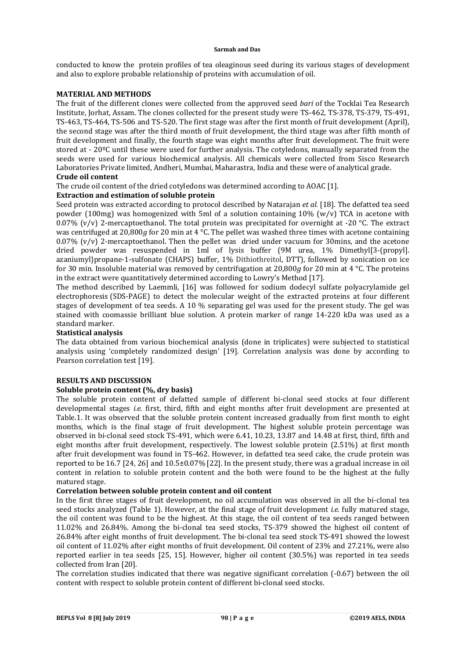conducted to know the protein profiles of tea oleaginous seed during its various stages of development and also to explore probable relationship of proteins with accumulation of oil.

# **MATERIAL AND METHODS**

The fruit of the different clones were collected from the approved seed *bari* of the Tocklai Tea Research Institute, Jorhat, Assam. The clones collected for the present study were TS-462, TS-378, TS-379, TS-491, TS-463, TS-464, TS-506 and TS-520. The first stage was after the first month of fruit development (April), the second stage was after the third month of fruit development, the third stage was after fifth month of fruit development and finally, the fourth stage was eight months after fruit development. The fruit were stored at - 20ºC until these were used for further analysis. The cotyledons, manually separated from the seeds were used for various biochemical analysis. All chemicals were collected from Sisco Research Laboratories Private limited, Andheri, Mumbai, Maharastra, India and these were of analytical grade.

# **Crude oil content**

The crude oil content of the dried cotyledons was determined according to AOAC [1].

# **Extraction and estimation of soluble protein**

Seed protein was extracted according to protocol described by Natarajan *et al.* [18]. The defatted tea seed powder (100mg) was homogenized with 5ml of a solution containing  $10\%$  (w/v) TCA in acetone with 0.07% (v/v) 2-mercaptoethanol. The total protein was precipitated for overnight at -20 °C. The extract was centrifuged at 20,800*g* for 20 min at 4 °C. The pellet was washed three times with acetone containing 0.07%  $(v/v)$  2-mercaptoethanol. Then the pellet was dried under vacuum for 30mins, and the acetone dried powder was resuspended in 1ml of lysis buffer (9M urea, 1% Dimethyl[3-(propyl]. azaniumyl}propane-1-sulfonate (CHAPS) buffer, 1% Dithiothreitol, DTT), followed by sonication on ice for 30 min. Insoluble material was removed by centrifugation at 20,800*g* for 20 min at 4 °C. The proteins in the extract were quantitatively determined according to Lowry's Method [17].

The method described by Laemmli, [16] was followed for sodium dodecyl sulfate polyacrylamide gel electrophoresis (SDS-PAGE) to detect the molecular weight of the extracted proteins at four different stages of development of tea seeds. A 10 % separating gel was used for the present study. The gel was stained with coomassie brilliant blue solution. A protein marker of range 14-220 kDa was used as a standard marker.

# **Statistical analysis**

The data obtained from various biochemical analysis (done in triplicates) were subjected to statistical analysis using 'completely randomized design' [19]. Correlation analysis was done by according to Pearson correlation test [19].

# **RESULTS AND DISCUSSION**

# **Soluble protein content (%, dry basis)**

The soluble protein content of defatted sample of different bi-clonal seed stocks at four different developmental stages *i.e.* first, third, fifth and eight months after fruit development are presented at Table.1. It was observed that the soluble protein content increased gradually from first month to eight months, which is the final stage of fruit development. The highest soluble protein percentage was observed in bi-clonal seed stock TS-491, which were 6.41, 10.23, 13.87 and 14.48 at first, third, fifth and eight months after fruit development, respectively. The lowest soluble protein (2.51%) at first month after fruit development was found in TS-462. However, in defatted tea seed cake, the crude protein was reported to be 16.7 [24, 26] and 10.5±0.07% [22]. In the present study, there was a gradual increase in oil content in relation to soluble protein content and the both were found to be the highest at the fully matured stage.

### **Correlation between soluble protein content and oil content**

In the first three stages of fruit development, no oil accumulation was observed in all the bi-clonal tea seed stocks analyzed (Table 1). However, at the final stage of fruit development *i.e.* fully matured stage, the oil content was found to be the highest. At this stage, the oil content of tea seeds ranged between 11.02% and 26.84%. Among the bi-clonal tea seed stocks, TS-379 showed the highest oil content of 26.84% after eight months of fruit development. The bi-clonal tea seed stock TS-491 showed the lowest oil content of 11.02% after eight months of fruit development. Oil content of 23% and 27.21%, were also reported earlier in tea seeds [25, 15]. However, higher oil content (30.5%) was reported in tea seeds collected from Iran [20].

The correlation studies indicated that there was negative significant correlation (-0.67) between the oil content with respect to soluble protein content of different bi-clonal seed stocks.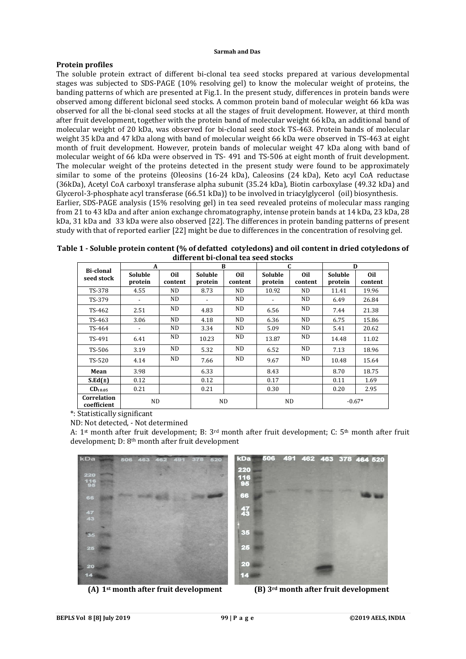### **Protein profiles**

The soluble protein extract of different bi-clonal tea seed stocks prepared at various developmental stages was subjected to SDS-PAGE (10% resolving gel) to know the molecular weight of proteins, the banding patterns of which are presented at Fig.1. In the present study, differences in protein bands were observed among different biclonal seed stocks. A common protein band of molecular weight 66 kDa was observed for all the bi-clonal seed stocks at all the stages of fruit development. However, at third month after fruit development, together with the protein band of molecular weight 66 kDa, an additional band of molecular weight of 20 kDa, was observed for bi-clonal seed stock TS-463. Protein bands of molecular weight 35 kDa and 47 kDa along with band of molecular weight 66 kDa were observed in TS-463 at eight month of fruit development. However, protein bands of molecular weight 47 kDa along with band of molecular weight of 66 kDa were observed in TS- 491 and TS-506 at eight month of fruit development. The molecular weight of the proteins detected in the present study were found to be approximately similar to some of the proteins {Oleosins (16-24 kDa), Caleosins (24 kDa), Keto acyl CoA reductase (36kDa), Acetyl CoA carboxyl transferase alpha subunit (35.24 kDa), Biotin carboxylase (49.32 kDa) and Glycerol-3-phosphate acyl transferase (66.51 kDa)} to be involved in triacylglycerol (oil) biosynthesis. Earlier, SDS-PAGE analysis (15% resolving gel) in tea seed revealed proteins of molecular mass ranging from 21 to 43 kDa and after anion exchange chromatography, intense protein bands at 14 kDa, 23 kDa, 28 kDa, 31 kDa and 33 kDa were also observed [22]. The differences in protein banding patterns of present study with that of reported earlier [22] might be due to differences in the concentration of resolving gel.

**Table 1 - Soluble protein content (% of defatted cotyledons) and oil content in dried cotyledons of different bi-clonal tea seed stocks**

| Bi-clonal<br>seed stock    | A                         |                | B                  |                | C                  |                | D                  |                            |
|----------------------------|---------------------------|----------------|--------------------|----------------|--------------------|----------------|--------------------|----------------------------|
|                            | <b>Soluble</b><br>protein | 0il<br>content | Soluble<br>protein | 0il<br>content | Soluble<br>protein | Oil<br>content | Soluble<br>protein | 0 <sub>il</sub><br>content |
| TS-378                     | 4.55                      | ND.            | 8.73               | ND.            | 10.92              | ND.            | 11.41              | 19.96                      |
| TS-379                     | ۰                         | ND.            |                    | ND.            |                    | ND.            | 6.49               | 26.84                      |
| TS-462                     | 2.51                      | ND             | 4.83               | ND.            | 6.56               | ND.            | 7.44               | 21.38                      |
| TS-463                     | 3.06                      | ND.            | 4.18               | ND.            | 6.36               | ND.            | 6.75               | 15.86                      |
| TS-464                     | $\overline{\phantom{a}}$  | ND.            | 3.34               | ND.            | 5.09               | ND.            | 5.41               | 20.62                      |
| TS-491                     | 6.41                      | ND.            | 10.23              | ND.            | 13.87              | ND.            | 14.48              | 11.02                      |
| TS-506                     | 3.19                      | ND.            | 5.32               | ND.            | 6.52               | ND.            | 7.13               | 18.96                      |
| TS-520                     | 4.14                      | ND.            | 7.66               | ND.            | 9.67               | ND.            | 10.48              | 15.64                      |
| Mean                       | 3.98                      |                | 6.33               |                | 8.43               |                | 8.70               | 18.75                      |
| $S.Ed(\pm)$                | 0.12                      |                | 0.12               |                | 0.17               |                | 0.11               | 1.69                       |
| $CD_{t\,0.05}$             | 0.21                      |                | 0.21               |                | 0.30               |                | 0.20               | 2.95                       |
| Correlation<br>coefficient | ND.                       |                | ND.                |                | <b>ND</b>          |                | $-0.67*$           |                            |

\*: Statistically significant

ND: Not detected, - Not determined

A: 1st month after fruit development; B: 3rd month after fruit development; C: 5th month after fruit development; D: 8th month after fruit development



**(A) 1st month after fruit development (B) 3rd month after fruit development**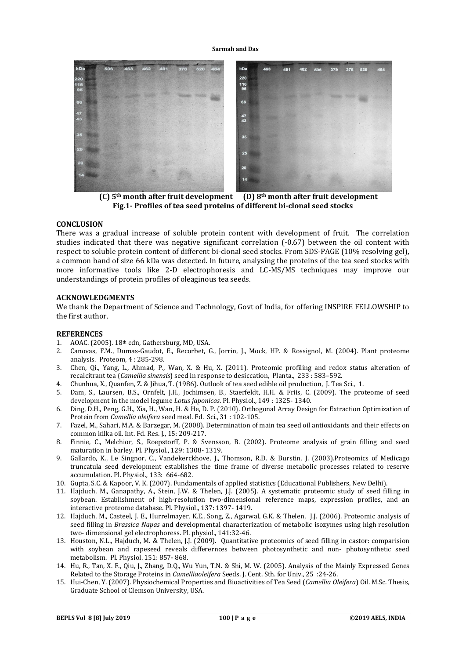

 **(C) 5th month after fruit development (D) 8th month after fruit development Fig.1- Profiles of tea seed proteins of different bi-clonal seed stocks**

### **CONCLUSION**

There was a gradual increase of soluble protein content with development of fruit. The correlation studies indicated that there was negative significant correlation (-0.67) between the oil content with respect to soluble protein content of different bi-clonal seed stocks. From SDS-PAGE (10% resolving gel), a common band of size 66 kDa was detected. In future, analysing the proteins of the tea seed stocks with more informative tools like 2-D electrophoresis and LC-MS/MS techniques may improve our understandings of protein profiles of oleaginous tea seeds.

# **ACKNOWLEDGMENTS**

We thank the Department of Science and Technology, Govt of India, for offering INSPIRE FELLOWSHIP to the first author.

#### **REFERENCES**

- 1. AOAC. (2005). 18th edn, Gathersburg, MD, USA.
- 2. Canovas, F.M., Dumas-Gaudot, E., Recorbet, G., Jorrin, J., Mock, HP. & Rossignol, M. (2004). Plant proteome analysis. Proteom, 4 : 285-298.
- 3. Chen, Qi., Yang, L., Ahmad, P., Wan, X. & Hu, X. (2011). Proteomic profiling and redox status alteration of recalcitrant tea (*Camellia sinensis*) seed in response to desiccation, Planta., 233 : 583–592.
- 4. Chunhua, X., Quanfen, Z. & Jihua, T. (1986). Outlook of tea seed edible oil production, J. Tea Sci*.*, 1.
- 5. Dam, S., Laursen, B.S., Ornfelt, J.H., Jochimsen, B., Staerfeldt, H.H. & Friis, C. (2009). The proteome of seed development in the model legume *Lotus japonicas*. Pl. Physiol., 149 : 1325- 1340.
- 6. Ding, D.H., Peng, G.H., Xia, H., Wan, H. & He, D. P. (2010). Orthogonal Array Design for Extraction Optimization of Protein from *Camellia oleifera* seed meal. Fd. Sci., 31 : 102-105.
- 7. Fazel, M., Sahari, M.A. & Barzegar, M. (2008). Determination of main tea seed oil antioxidants and their effects on common kilka oil. Int. Fd. Res. J., 15: 209-217.
- 8. Finnie, C., Melchior, S., Roepstorff, P. & Svensson, B. (2002). Proteome analysis of grain filling and seed maturation in barley. Pl. Physiol., 129: 1308- 1319.
- 9. Gallardo, K., Le Singnor, C., Vandekerckhove, J., Thomson, R.D. & Burstin, J. (2003).Proteomics of Medicago truncatula seed development establishes the time frame of diverse metabolic processes related to reserve accumulation. Pl. Physiol*.,* 133: 664-682.
- 10. Gupta, S.C. & Kapoor, V. K. (2007). Fundamentals of applied statistics (Educational Publishers, New Delhi).
- 11. Hajduch, M., Ganapathy, A., Stein, J.W. & Thelen, J.J. (2005). A systematic proteomic study of seed filling in soybean. Establishment of high-resolution two-dimensional reference maps, expression profiles, and an interactive proteome database. Pl. Physiol., 137: 1397- 1419.
- 12. Hajduch, M., Casteel, J. E., Hurrelmayer, K.E., Song, Z., Agarwal, G.K. & Thelen, J.J. (2006). Proteomic analysis of seed filling in *Brassica Napas* and developmental characterization of metabolic isozymes using high resolution two- dimensional gel electrophoress. Pl. physiol., 141:32-46.
- 13. Houston, N.L., Hajduch, M. & Thelen, J.J. (2009). Quantitative proteomics of seed filling in castor: comparision with soybean and rapeseed reveals differernces between photosynthetic and non- photosynthetic seed metabolism. Pl. Physiol. 151: 857- 868.
- 14. Hu, R., Tan, X. F., Qiu, J., Zhang, D.Q., Wu Yun, T.N. & Shi, M. W. (2005). Analysis of the Mainly Expressed Genes Related to the Storage Proteins in *Camelliaoleifera* Seeds. J. Cent. Sth. for Univ., 25 :24-26.
- 15. Hui-Chen, Y. (2007). Physiochemical Properties and Bioactivities of Tea Seed (*Camellia Oleifera*) Oil. M.Sc. Thesis, Graduate School of Clemson University, USA.